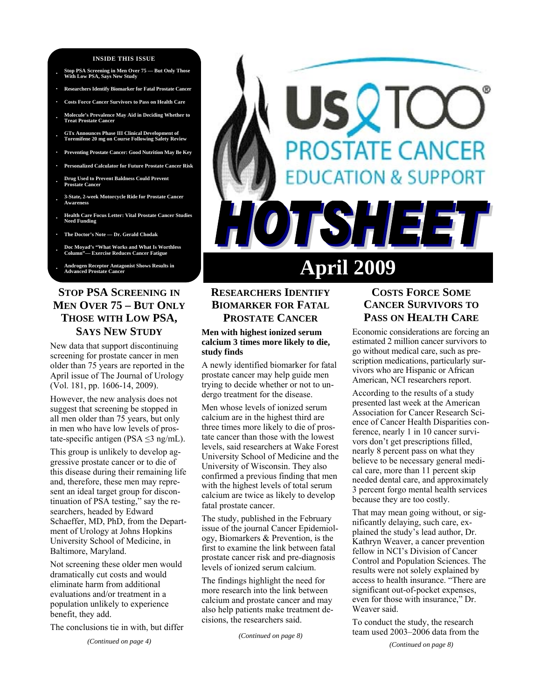#### **INSIDE THIS ISSUE**

- **· Stop PSA Screening in Men Over 75 But Only Those With Low PSA, Says New Study**
- **· Researchers Identify Biomarker for Fatal Prostate Cancer**
- **· Costs Force Cancer Survivors to Pass on Health Care**
- **· Molecule's Prevalence May Aid in Deciding Whether to Treat Prostate Cancer**
- **· GTx Announces Phase III Clinical Development of Toremifene 20 mg on Course Following Safety Review**
- **· Preventing Prostate Cancer: Good Nutrition May Be Key**
- **· Personalized Calculator for Future Prostate Cancer Risk**
- **· Drug Used to Prevent Baldness Could Prevent Prostate Cancer**
- **· 3-State, 2-week Motorcycle Ride for Prostate Cancer Awareness**
- **· Health Care Focus Letter: Vital Prostate Cancer Studies Need Funding**
- **· The Doctor's Note Dr. Gerald Chodak**
- **· Doc Moyad's "What Works and What Is Worthless Column Exercise Reduces Cancer Fatigue**
- **· Androgen Receptor Antagonist Shows Results in**

## **STOP PSA SCREENING IN MEN OVER 75 – BUT ONLY THOSE WITH LOW PSA, SAYS NEW STUDY**

New data that support discontinuing screening for prostate cancer in men older than 75 years are reported in the April issue of The Journal of Urology (Vol. 181, pp. 1606-14, 2009).

However, the new analysis does not suggest that screening be stopped in all men older than 75 years, but only in men who have low levels of prostate-specific antigen (PSA  $\leq$ 3 ng/mL).

This group is unlikely to develop aggressive prostate cancer or to die of this disease during their remaining life and, therefore, these men may represent an ideal target group for discontinuation of PSA testing," say the researchers, headed by Edward Schaeffer, MD, PhD, from the Department of Urology at Johns Hopkins University School of Medicine, in Baltimore, Maryland.

Not screening these older men would dramatically cut costs and would eliminate harm from additional evaluations and/or treatment in a population unlikely to experience benefit, they add.

The conclusions tie in with, but differ

*(Continued on page 4)* 

# **OSTATE CANCER ION & SUPPORT** FSH E 3 **April 2009**

## **RESEARCHERS IDENTIFY BIOMARKER FOR FATAL PROSTATE CANCER**

#### **Men with highest ionized serum calcium 3 times more likely to die, study finds**

A newly identified biomarker for fatal prostate cancer may help guide men trying to decide whether or not to undergo treatment for the disease.

Men whose levels of ionized serum calcium are in the highest third are three times more likely to die of prostate cancer than those with the lowest levels, said researchers at Wake Forest University School of Medicine and the University of Wisconsin. They also confirmed a previous finding that men with the highest levels of total serum calcium are twice as likely to develop fatal prostate cancer.

The study, published in the February issue of the journal Cancer Epidemiology, Biomarkers & Prevention, is the first to examine the link between fatal prostate cancer risk and pre-diagnosis levels of ionized serum calcium.

The findings highlight the need for more research into the link between calcium and prostate cancer and may also help patients make treatment decisions, the researchers said.

*(Continued on page 8)* 

## **COSTS FORCE SOME CANCER SURVIVORS TO PASS ON HEALTH CARE**

Economic considerations are forcing an estimated 2 million cancer survivors to go without medical care, such as prescription medications, particularly survivors who are Hispanic or African American, NCI researchers report.

According to the results of a study presented last week at the American Association for Cancer Research Science of Cancer Health Disparities conference, nearly 1 in 10 cancer survivors don't get prescriptions filled, nearly 8 percent pass on what they believe to be necessary general medical care, more than 11 percent skip needed dental care, and approximately 3 percent forgo mental health services because they are too costly.

That may mean going without, or significantly delaying, such care, explained the study's lead author, Dr. Kathryn Weaver, a cancer prevention fellow in NCI's Division of Cancer Control and Population Sciences. The results were not solely explained by access to health insurance. "There are significant out-of-pocket expenses, even for those with insurance," Dr. Weaver said.

To conduct the study, the research team used 2003–2006 data from the

*(Continued on page 8)*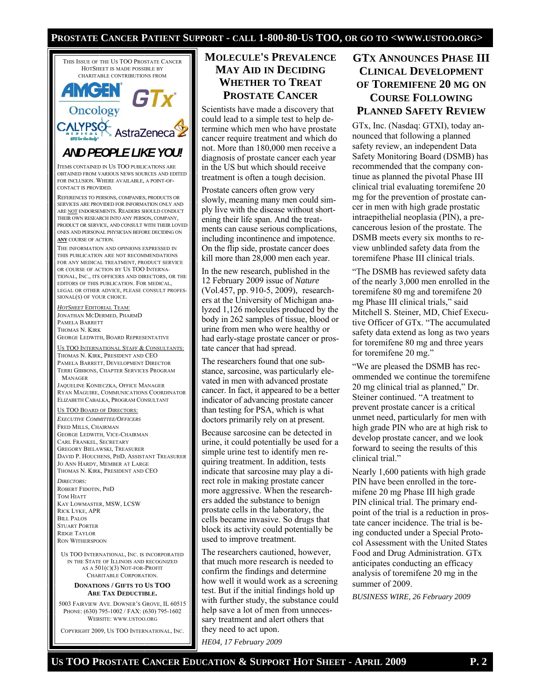#### **PROSTATE CANCER PATIENT SUPPORT - CALL 1-800-80-US TOO, OR GO TO <WWW.USTOO.ORG>**



5003 FAIRVIEW AVE. DOWNER'S GROVE, IL 60515 PHONE: (630) 795-1002 / FAX: (630) 795-1602 WEBSITE: WWW.USTOO.ORG

COPYRIGHT 2009, US TOO INTERNATIONAL, INC.

## **MOLECULE'S PREVALENCE MAY AID IN DECIDING WHETHER TO TREAT PROSTATE CANCER**

Scientists have made a discovery that could lead to a simple test to help determine which men who have prostate cancer require treatment and which do not. More than 180,000 men receive a diagnosis of prostate cancer each year in the US but which should receive treatment is often a tough decision.

Prostate cancers often grow very slowly, meaning many men could simply live with the disease without shortening their life span. And the treatments can cause serious complications, including incontinence and impotence. On the flip side, prostate cancer does kill more than 28,000 men each year.

In the new research, published in the 12 February 2009 issue of *Nature*  (Vol.457, pp. 910-5, 2009), researchers at the University of Michigan analyzed 1,126 molecules produced by the body in 262 samples of tissue, blood or urine from men who were healthy or had early-stage prostate cancer or prostate cancer that had spread.

The researchers found that one substance, sarcosine, was particularly elevated in men with advanced prostate cancer. In fact, it appeared to be a better indicator of advancing prostate cancer than testing for PSA, which is what doctors primarily rely on at present.

Because sarcosine can be detected in urine, it could potentially be used for a simple urine test to identify men requiring treatment. In addition, tests indicate that sarcosine may play a direct role in making prostate cancer more aggressive. When the researchers added the substance to benign prostate cells in the laboratory, the cells became invasive. So drugs that block its activity could potentially be used to improve treatment.

The researchers cautioned, however, that much more research is needed to confirm the findings and determine how well it would work as a screening test. But if the initial findings hold up with further study, the substance could help save a lot of men from unnecessary treatment and alert others that they need to act upon.

*HE04, 17 February 2009* 

# **GTX ANNOUNCES PHASE III CLINICAL DEVELOPMENT OF TOREMIFENE 20 MG ON COURSE FOLLOWING PLANNED SAFETY REVIEW**

GTx, Inc. (Nasdaq: GTXI), today announced that following a planned safety review, an independent Data Safety Monitoring Board (DSMB) has recommended that the company continue as planned the pivotal Phase III clinical trial evaluating toremifene 20 mg for the prevention of prostate cancer in men with high grade prostatic intraepithelial neoplasia (PIN), a precancerous lesion of the prostate. The DSMB meets every six months to review unblinded safety data from the toremifene Phase III clinical trials.

"The DSMB has reviewed safety data of the nearly 3,000 men enrolled in the toremifene 80 mg and toremifene 20 mg Phase III clinical trials," said Mitchell S. Steiner, MD, Chief Executive Officer of GTx. "The accumulated safety data extend as long as two years for toremifene 80 mg and three years for toremifene 20 mg."

"We are pleased the DSMB has recommended we continue the toremifene 20 mg clinical trial as planned," Dr. Steiner continued. "A treatment to prevent prostate cancer is a critical unmet need, particularly for men with high grade PIN who are at high risk to develop prostate cancer, and we look forward to seeing the results of this clinical trial."

Nearly 1,600 patients with high grade PIN have been enrolled in the toremifene 20 mg Phase III high grade PIN clinical trial. The primary endpoint of the trial is a reduction in prostate cancer incidence. The trial is being conducted under a Special Protocol Assessment with the United States Food and Drug Administration. GTx anticipates conducting an efficacy analysis of toremifene 20 mg in the summer of 2009.

*BUSINESS WIRE, 26 February 2009*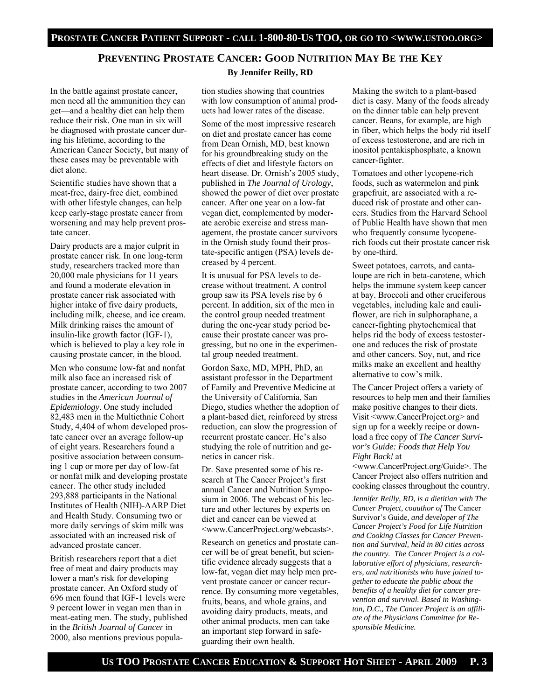#### **PREVENTING PROSTATE CANCER: GOOD NUTRITION MAY BE THE KEY By Jennifer Reilly, RD**

In the battle against prostate cancer, men need all the ammunition they can get—and a healthy diet can help them reduce their risk. One man in six will be diagnosed with prostate cancer during his lifetime, according to the American Cancer Society, but many of these cases may be preventable with diet alone.

Scientific studies have shown that a meat-free, dairy-free diet, combined with other lifestyle changes, can help keep early-stage prostate cancer from worsening and may help prevent prostate cancer.

Dairy products are a major culprit in prostate cancer risk. In one long-term study, researchers tracked more than 20,000 male physicians for 11 years and found a moderate elevation in prostate cancer risk associated with higher intake of five dairy products, including milk, cheese, and ice cream. Milk drinking raises the amount of insulin-like growth factor (IGF-1), which is believed to play a key role in causing prostate cancer, in the blood.

Men who consume low-fat and nonfat milk also face an increased risk of prostate cancer, according to two 2007 studies in the *American Journal of Epidemiology*. One study included 82,483 men in the Multiethnic Cohort Study, 4,404 of whom developed prostate cancer over an average follow-up of eight years. Researchers found a positive association between consuming 1 cup or more per day of low-fat or nonfat milk and developing prostate cancer. The other study included 293,888 participants in the National Institutes of Health (NIH)-AARP Diet and Health Study. Consuming two or more daily servings of skim milk was associated with an increased risk of advanced prostate cancer.

British researchers report that a diet free of meat and dairy products may lower a man's risk for developing prostate cancer. An Oxford study of 696 men found that IGF-1 levels were 9 percent lower in vegan men than in meat-eating men. The study, published in the *British Journal of Cancer* in 2000, also mentions previous population studies showing that countries with low consumption of animal products had lower rates of the disease.

Some of the most impressive research on diet and prostate cancer has come from Dean Ornish, MD, best known for his groundbreaking study on the effects of diet and lifestyle factors on heart disease. Dr. Ornish's 2005 study, published in *The Journal of Urology*, showed the power of diet over prostate cancer. After one year on a low-fat vegan diet, complemented by moderate aerobic exercise and stress management, the prostate cancer survivors in the Ornish study found their prostate-specific antigen (PSA) levels decreased by 4 percent.

It is unusual for PSA levels to decrease without treatment. A control group saw its PSA levels rise by 6 percent. In addition, six of the men in the control group needed treatment during the one-year study period because their prostate cancer was progressing, but no one in the experimental group needed treatment.

Gordon Saxe, MD, MPH, PhD, an assistant professor in the Department of Family and Preventive Medicine at the University of California, San Diego, studies whether the adoption of a plant-based diet, reinforced by stress reduction, can slow the progression of recurrent prostate cancer. He's also studying the role of nutrition and genetics in cancer risk.

Dr. Saxe presented some of his research at The Cancer Project's first annual Cancer and Nutrition Symposium in 2006. The webcast of his lecture and other lectures by experts on diet and cancer can be viewed at <www.CancerProject.org/webcasts>.

Research on genetics and prostate cancer will be of great benefit, but scientific evidence already suggests that a low-fat, vegan diet may help men prevent prostate cancer or cancer recurrence. By consuming more vegetables, fruits, beans, and whole grains, and avoiding dairy products, meats, and other animal products, men can take an important step forward in safeguarding their own health.

Making the switch to a plant-based diet is easy. Many of the foods already on the dinner table can help prevent cancer. Beans, for example, are high in fiber, which helps the body rid itself of excess testosterone, and are rich in inositol pentakisphosphate, a known cancer-fighter.

Tomatoes and other lycopene-rich foods, such as watermelon and pink grapefruit, are associated with a reduced risk of prostate and other cancers. Studies from the Harvard School of Public Health have shown that men who frequently consume lycopenerich foods cut their prostate cancer risk by one-third.

Sweet potatoes, carrots, and cantaloupe are rich in beta-carotene, which helps the immune system keep cancer at bay. Broccoli and other cruciferous vegetables, including kale and cauliflower, are rich in sulphoraphane, a cancer-fighting phytochemical that helps rid the body of excess testosterone and reduces the risk of prostate and other cancers. Soy, nut, and rice milks make an excellent and healthy alternative to cow's milk.

The Cancer Project offers a variety of resources to help men and their families make positive changes to their diets. Visit <www.CancerProject.org> and sign up for a weekly recipe or download a free copy of *The Cancer Survivor's Guide: Foods that Help You Fight Back!* at

<www.CancerProject.org/Guide>. The Cancer Project also offers nutrition and cooking classes throughout the country.

*Jennifer Reilly, RD, is a dietitian with The Cancer Project, coauthor of* The Cancer Survivor's Guide*, and developer of The Cancer Project's Food for Life Nutrition and Cooking Classes for Cancer Prevention and Survival, held in 80 cities across the country. The Cancer Project is a collaborative effort of physicians, researchers, and nutritionists who have joined together to educate the public about the benefits of a healthy diet for cancer prevention and survival. Based in Washington, D.C., The Cancer Project is an affiliate of the Physicians Committee for Responsible Medicine.*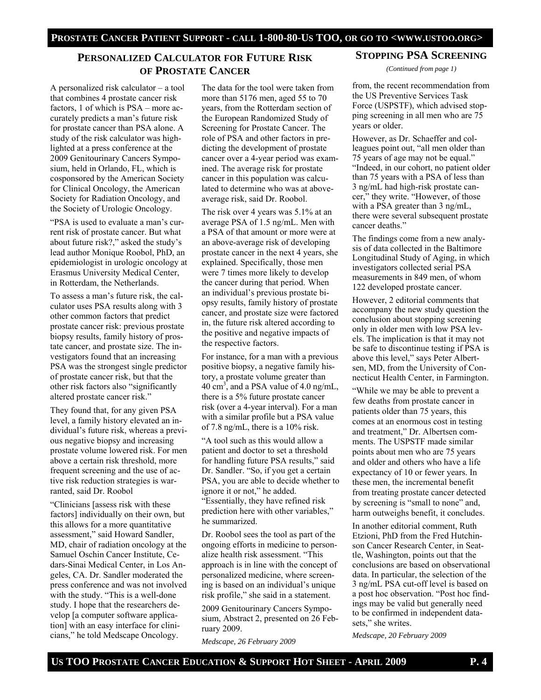## **PERSONALIZED CALCULATOR FOR FUTURE RISK OF PROSTATE CANCER**

A personalized risk calculator – a tool that combines 4 prostate cancer risk factors, 1 of which is PSA – more accurately predicts a man's future risk for prostate cancer than PSA alone. A study of the risk calculator was highlighted at a press conference at the 2009 Genitourinary Cancers Symposium, held in Orlando, FL, which is cosponsored by the American Society for Clinical Oncology, the American Society for Radiation Oncology, and the Society of Urologic Oncology.

"PSA is used to evaluate a man's current risk of prostate cancer. But what about future risk?," asked the study's lead author Monique Roobol, PhD, an epidemiologist in urologic oncology at Erasmus University Medical Center, in Rotterdam, the Netherlands.

To assess a man's future risk, the calculator uses PSA results along with 3 other common factors that predict prostate cancer risk: previous prostate biopsy results, family history of prostate cancer, and prostate size. The investigators found that an increasing PSA was the strongest single predictor of prostate cancer risk, but that the other risk factors also "significantly altered prostate cancer risk."

They found that, for any given PSA level, a family history elevated an individual's future risk, whereas a previous negative biopsy and increasing prostate volume lowered risk. For men above a certain risk threshold, more frequent screening and the use of active risk reduction strategies is warranted, said Dr. Roobol

"Clinicians [assess risk with these factors] individually on their own, but this allows for a more quantitative assessment," said Howard Sandler, MD, chair of radiation oncology at the Samuel Oschin Cancer Institute, Cedars-Sinai Medical Center, in Los Angeles, CA. Dr. Sandler moderated the press conference and was not involved with the study. "This is a well-done study. I hope that the researchers develop [a computer software application] with an easy interface for clinicians," he told Medscape Oncology.

The data for the tool were taken from more than 5176 men, aged 55 to 70 years, from the Rotterdam section of the European Randomized Study of Screening for Prostate Cancer. The role of PSA and other factors in predicting the development of prostate cancer over a 4-year period was examined. The average risk for prostate cancer in this population was calculated to determine who was at aboveaverage risk, said Dr. Roobol.

The risk over 4 years was 5.1% at an average PSA of 1.5 ng/mL. Men with a PSA of that amount or more were at an above-average risk of developing prostate cancer in the next 4 years, she explained. Specifically, those men were 7 times more likely to develop the cancer during that period. When an individual's previous prostate biopsy results, family history of prostate cancer, and prostate size were factored in, the future risk altered according to the positive and negative impacts of the respective factors.

For instance, for a man with a previous positive biopsy, a negative family history, a prostate volume greater than 40 cm<sup>3</sup>, and a PSA value of 4.0 ng/mL, there is a 5% future prostate cancer risk (over a 4-year interval). For a man with a similar profile but a PSA value of 7.8 ng/mL, there is a 10% risk.

"A tool such as this would allow a patient and doctor to set a threshold for handling future PSA results," said Dr. Sandler. "So, if you get a certain PSA, you are able to decide whether to ignore it or not," he added. "Essentially, they have refined risk prediction here with other variables," he summarized.

Dr. Roobol sees the tool as part of the ongoing efforts in medicine to personalize health risk assessment. "This approach is in line with the concept of personalized medicine, where screening is based on an individual's unique risk profile," she said in a statement.

2009 Genitourinary Cancers Symposium, Abstract 2, presented on 26 February 2009.

*Medscape, 26 February 2009* 

#### **STOPPING PSA SCREENING**

*(Continued from page 1)* 

from, the recent recommendation from the US Preventive Services Task Force (USPSTF), which advised stopping screening in all men who are 75 years or older.

However, as Dr. Schaeffer and colleagues point out, "all men older than 75 years of age may not be equal." "Indeed, in our cohort, no patient older than 75 years with a PSA of less than 3 ng/mL had high-risk prostate cancer," they write. "However, of those with a PSA greater than 3 ng/mL, there were several subsequent prostate cancer deaths."

The findings come from a new analysis of data collected in the Baltimore Longitudinal Study of Aging, in which investigators collected serial PSA measurements in 849 men, of whom 122 developed prostate cancer.

However, 2 editorial comments that accompany the new study question the conclusion about stopping screening only in older men with low PSA levels. The implication is that it may not be safe to discontinue testing if PSA is above this level," says Peter Albertsen, MD, from the University of Connecticut Health Center, in Farmington.

"While we may be able to prevent a few deaths from prostate cancer in patients older than 75 years, this comes at an enormous cost in testing and treatment," Dr. Albertsen comments. The USPSTF made similar points about men who are 75 years and older and others who have a life expectancy of 10 or fewer years. In these men, the incremental benefit from treating prostate cancer detected by screening is "small to none" and, harm outweighs benefit, it concludes.

In another editorial comment, Ruth Etzioni, PhD from the Fred Hutchinson Cancer Research Center, in Seattle, Washington, points out that the conclusions are based on observational data. In particular, the selection of the 3 ng/mL PSA cut-off level is based on a post hoc observation. "Post hoc findings may be valid but generally need to be confirmed in independent datasets," she writes.

*Medscape, 20 February 2009*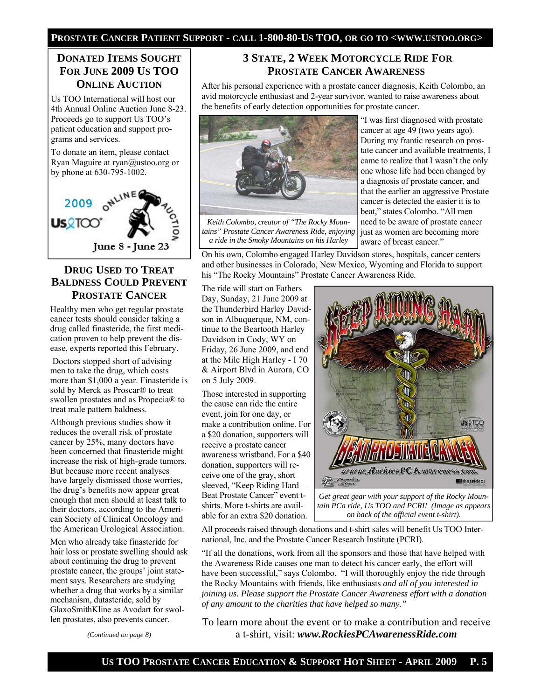#### **PROSTATE CANCER PATIENT SUPPORT - CALL 1-800-80-US TOO, OR GO TO <WWW.USTOO.ORG>**

## **DONATED ITEMS SOUGHT FOR JUNE 2009 US TOO ONLINE AUCTION**

Us TOO International will host our 4th Annual Online Auction June 8-23. Proceeds go to support Us TOO's patient education and support programs and services.

To donate an item, please contact Ryan Maguire at ryan@ustoo.org or by phone at 630-795-1002.



#### **DRUG USED TO TREAT BALDNESS COULD PREVENT PROSTATE CANCER**

Healthy men who get regular prostate cancer tests should consider taking a drug called finasteride, the first medication proven to help prevent the disease, experts reported this February.

 Doctors stopped short of advising men to take the drug, which costs more than \$1,000 a year. Finasteride is sold by Merck as Proscar® to treat swollen prostates and as Propecia® to treat male pattern baldness.

Although previous studies show it reduces the overall risk of prostate cancer by 25%, many doctors have been concerned that finasteride might increase the risk of high-grade tumors. But because more recent analyses have largely dismissed those worries, the drug's benefits now appear great enough that men should at least talk to their doctors, according to the American Society of Clinical Oncology and the American Urological Association.

Men who already take finasteride for hair loss or prostate swelling should ask about continuing the drug to prevent prostate cancer, the groups' joint statement says. Researchers are studying whether a drug that works by a similar mechanism, dutasteride, sold by GlaxoSmithKline as Avodart for swollen prostates, also prevents cancer.

## **3 STATE, 2 WEEK MOTORCYCLE RIDE FOR PROSTATE CANCER AWARENESS**

After his personal experience with a prostate cancer diagnosis, Keith Colombo, an avid motorcycle enthusiast and 2-year survivor, wanted to raise awareness about the benefits of early detection opportunities for prostate cancer.



*Keith Colombo, creator of "The Rocky Mountains" Prostate Cancer Awareness Ride, enjoying a ride in the Smoky Mountains on his Harley* 

"I was first diagnosed with prostate cancer at age 49 (two years ago). During my frantic research on prostate cancer and available treatments, I came to realize that I wasn't the only one whose life had been changed by a diagnosis of prostate cancer, and that the earlier an aggressive Prostate cancer is detected the easier it is to beat," states Colombo. "All men need to be aware of prostate cancer just as women are becoming more aware of breast cancer."

On his own, Colombo engaged Harley Davidson stores, hospitals, cancer centers and other businesses in Colorado, New Mexico, Wyoming and Florida to support his "The Rocky Mountains" Prostate Cancer Awareness Ride.

The ride will start on Fathers Day, Sunday, 21 June 2009 at the Thunderbird Harley Davidson in Albuquerque, NM, continue to the Beartooth Harley Davidson in Cody, WY on Friday, 26 June 2009, and end at the Mile High Harley - I 70 & Airport Blvd in Aurora, CO on 5 July 2009.

Those interested in supporting the cause can ride the entire event, join for one day, or make a contribution online. For a \$20 donation, supporters will receive a prostate cancer awareness wristband. For a \$40 donation, supporters will receive one of the gray, short sleeved, "Keep Riding Hard— Beat Prostate Cancer" event tshirts. More t-shirts are available for an extra \$20 donation.



*Get great gear with your support of the Rocky Mountain PCa ride, Us TOO and PCRI! (Image as appears on back of the official event t-shirt).*

All proceeds raised through donations and t-shirt sales will benefit Us TOO International, Inc. and the Prostate Cancer Research Institute (PCRI).

"If all the donations, work from all the sponsors and those that have helped with the Awareness Ride causes one man to detect his cancer early, the effort will have been successful," says Colombo. "I will thoroughly enjoy the ride through the Rocky Mountains with friends, like enthusiasts *and all of you interested in joining us. Please support the Prostate Cancer Awareness effort with a donation of any amount to the charities that have helped so many."* 

To learn more about the event or to make a contribution and receive a t-shirt, visit: *www.RockiesPCAwarenessRide.com*

*(Continued on page 8)*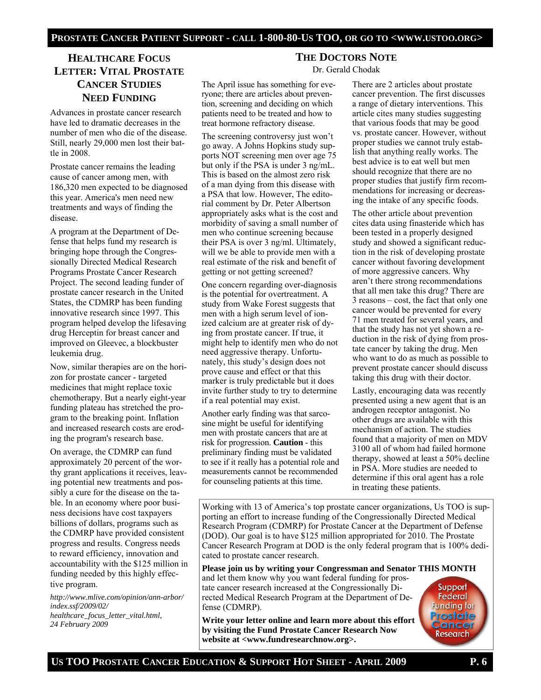# **HEALTHCARE FOCUS LETTER: VITAL PROSTATE CANCER STUDIES NEED FUNDING**

Advances in prostate cancer research have led to dramatic decreases in the number of men who die of the disease. Still, nearly 29,000 men lost their battle in 2008.

Prostate cancer remains the leading cause of cancer among men, with 186,320 men expected to be diagnosed this year. America's men need new treatments and ways of finding the disease.

A program at the Department of Defense that helps fund my research is bringing hope through the Congressionally Directed Medical Research Programs Prostate Cancer Research Project. The second leading funder of prostate cancer research in the United States, the CDMRP has been funding innovative research since 1997. This program helped develop the lifesaving drug Herceptin for breast cancer and improved on Gleevec, a blockbuster leukemia drug.

Now, similar therapies are on the horizon for prostate cancer - targeted medicines that might replace toxic chemotherapy. But a nearly eight-year funding plateau has stretched the program to the breaking point. Inflation and increased research costs are eroding the program's research base.

On average, the CDMRP can fund approximately 20 percent of the worthy grant applications it receives, leaving potential new treatments and possibly a cure for the disease on the table. In an economy where poor business decisions have cost taxpayers billions of dollars, programs such as the CDMRP have provided consistent progress and results. Congress needs to reward efficiency, innovation and accountability with the \$125 million in funding needed by this highly effective program.

*http://www.mlive.com/opinion/ann-arbor/ index.ssf/2009/02/ healthcare\_focus\_letter\_vital.html, 24 February 2009* 

#### **THE DOCTORS NOTE**

Dr. Gerald Chodak

The April issue has something for everyone; there are articles about prevention, screening and deciding on which patients need to be treated and how to treat hormone refractory disease.

The screening controversy just won't go away. A Johns Hopkins study supports NOT screening men over age 75 but only if the PSA is under 3 ng/mL. This is based on the almost zero risk of a man dying from this disease with a PSA that low. However, The editorial comment by Dr. Peter Albertson appropriately asks what is the cost and morbidity of saving a small number of men who continue screening because their PSA is over 3 ng/ml. Ultimately, will we be able to provide men with a real estimate of the risk and benefit of getting or not getting screened?

One concern regarding over-diagnosis is the potential for overtreatment. A study from Wake Forest suggests that men with a high serum level of ionized calcium are at greater risk of dying from prostate cancer. If true, it might help to identify men who do not need aggressive therapy. Unfortunately, this study's design does not prove cause and effect or that this marker is truly predictable but it does invite further study to try to determine if a real potential may exist.

Another early finding was that sarcosine might be useful for identifying men with prostate cancers that are at risk for progression. **Caution** - this preliminary finding must be validated to see if it really has a potential role and measurements cannot be recommended for counseling patients at this time.

There are 2 articles about prostate cancer prevention. The first discusses a range of dietary interventions. This article cites many studies suggesting that various foods that may be good vs. prostate cancer. However, without proper studies we cannot truly establish that anything really works. The best advice is to eat well but men should recognize that there are no proper studies that justify firm recommendations for increasing or decreasing the intake of any specific foods.

The other article about prevention cites data using finasteride which has been tested in a properly designed study and showed a significant reduction in the risk of developing prostate cancer without favoring development of more aggressive cancers. Why aren't there strong recommendations that all men take this drug? There are 3 reasons – cost, the fact that only one cancer would be prevented for every 71 men treated for several years, and that the study has not yet shown a reduction in the risk of dying from prostate cancer by taking the drug. Men who want to do as much as possible to prevent prostate cancer should discuss taking this drug with their doctor.

Lastly, encouraging data was recently presented using a new agent that is an androgen receptor antagonist. No other drugs are available with this mechanism of action. The studies found that a majority of men on MDV 3100 all of whom had failed hormone therapy, showed at least a 50% decline in PSA. More studies are needed to determine if this oral agent has a role in treating these patients.

Working with 13 of America's top prostate cancer organizations, Us TOO is supporting an effort to increase funding of the Congressionally Directed Medical Research Program (CDMRP) for Prostate Cancer at the Department of Defense (DOD). Our goal is to have \$125 million appropriated for 2010. The Prostate Cancer Research Program at DOD is the only federal program that is 100% dedicated to prostate cancer research.

**Please join us by writing your Congressman and Senator THIS MONTH**  and let them know why you want federal funding for pros-

tate cancer research increased at the Congressionally Directed Medical Research Program at the Department of Defense (CDMRP).

**Write your letter online and learn more about this effort by visiting the Fund Prostate Cancer Research Now website at <www.fundresearchnow.org>.**

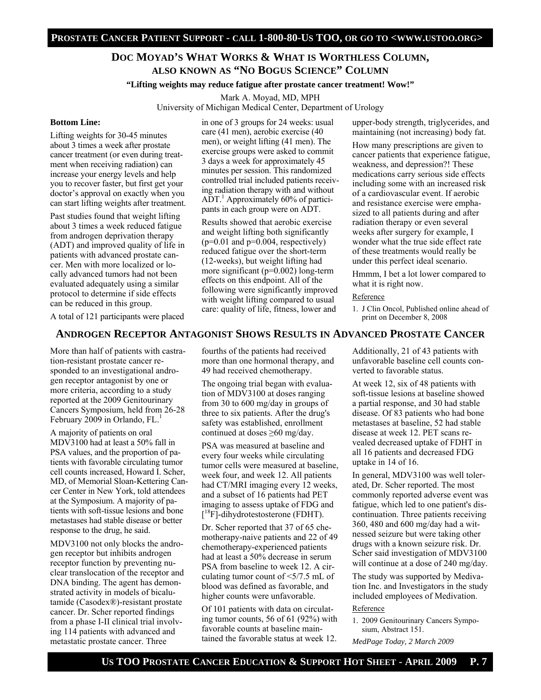#### **DOC MOYAD'S WHAT WORKS & WHAT IS WORTHLESS COLUMN, ALSO KNOWN AS "NO BOGUS SCIENCE" COLUMN**

**"Lifting weights may reduce fatigue after prostate cancer treatment! Wow!"** 

Mark A. Moyad, MD, MPH University of Michigan Medical Center, Department of Urology

#### **Bottom Line:**

Lifting weights for 30-45 minutes about 3 times a week after prostate cancer treatment (or even during treatment when receiving radiation) can increase your energy levels and help you to recover faster, but first get your doctor's approval on exactly when you can start lifting weights after treatment.

Past studies found that weight lifting about 3 times a week reduced fatigue from androgen deprivation therapy (ADT) and improved quality of life in patients with advanced prostate cancer. Men with more localized or locally advanced tumors had not been evaluated adequately using a similar protocol to determine if side effects can be reduced in this group.

A total of 121 participants were placed

in one of 3 groups for 24 weeks: usual care (41 men), aerobic exercise (40 men), or weight lifting (41 men). The exercise groups were asked to commit 3 days a week for approximately 45 minutes per session. This randomized controlled trial included patients receiving radiation therapy with and without ADT.<sup>1</sup> Approximately 60% of participants in each group were on ADT.

Results showed that aerobic exercise and weight lifting both significantly  $(p=0.01$  and  $p=0.004$ , respectively) reduced fatigue over the short-term (12-weeks), but weight lifting had more significant ( $p=0.002$ ) long-term effects on this endpoint. All of the following were significantly improved with weight lifting compared to usual care: quality of life, fitness, lower and

upper-body strength, triglycerides, and maintaining (not increasing) body fat.

How many prescriptions are given to cancer patients that experience fatigue, weakness, and depression?! These medications carry serious side effects including some with an increased risk of a cardiovascular event. If aerobic and resistance exercise were emphasized to all patients during and after radiation therapy or even several weeks after surgery for example, I wonder what the true side effect rate of these treatments would really be under this perfect ideal scenario.

Hmmm, I bet a lot lower compared to what it is right now.

#### Reference

1. J Clin Oncol, Published online ahead of print on December 8, 2008

#### **ANDROGEN RECEPTOR ANTAGONIST SHOWS RESULTS IN ADVANCED PROSTATE CANCER**

More than half of patients with castration-resistant prostate cancer responded to an investigational androgen receptor antagonist by one or more criteria, according to a study reported at the 2009 Genitourinary Cancers Symposium, held from 26-28 February 2009 in Orlando,  $FL<sup>1</sup>$ 

A majority of patients on oral MDV3100 had at least a 50% fall in PSA values, and the proportion of patients with favorable circulating tumor cell counts increased, Howard I. Scher, MD, of Memorial Sloan-Kettering Cancer Center in New York, told attendees at the Symposium. A majority of patients with soft-tissue lesions and bone metastases had stable disease or better response to the drug, he said.

MDV3100 not only blocks the androgen receptor but inhibits androgen receptor function by preventing nuclear translocation of the receptor and DNA binding. The agent has demonstrated activity in models of bicalutamide (Casodex®)-resistant prostate cancer. Dr. Scher reported findings from a phase I-II clinical trial involving 114 patients with advanced and metastatic prostate cancer. Three

fourths of the patients had received more than one hormonal therapy, and 49 had received chemotherapy.

The ongoing trial began with evaluation of MDV3100 at doses ranging from 30 to 600 mg/day in groups of three to six patients. After the drug's safety was established, enrollment continued at doses ≥60 mg/day.

PSA was measured at baseline and every four weeks while circulating tumor cells were measured at baseline, week four, and week 12. All patients had CT/MRI imaging every 12 weeks, and a subset of 16 patients had PET imaging to assess uptake of FDG and [ 18F]-dihydrotestosterone (FDHT).

Dr. Scher reported that 37 of 65 chemotherapy-naive patients and 22 of 49 chemotherapy-experienced patients had at least a 50% decrease in serum PSA from baseline to week 12. A circulating tumor count of  $\leq 5/7.5$  mL of blood was defined as favorable, and higher counts were unfavorable.

Of 101 patients with data on circulating tumor counts, 56 of 61 (92%) with favorable counts at baseline maintained the favorable status at week 12.

Additionally, 21 of 43 patients with unfavorable baseline cell counts converted to favorable status.

At week 12, six of 48 patients with soft-tissue lesions at baseline showed a partial response, and 30 had stable disease. Of 83 patients who had bone metastases at baseline, 52 had stable disease at week 12. PET scans revealed decreased uptake of FDHT in all 16 patients and decreased FDG uptake in 14 of 16.

In general, MDV3100 was well tolerated, Dr. Scher reported. The most commonly reported adverse event was fatigue, which led to one patient's discontinuation. Three patients receiving 360, 480 and 600 mg/day had a witnessed seizure but were taking other drugs with a known seizure risk. Dr. Scher said investigation of MDV3100 will continue at a dose of 240 mg/day.

The study was supported by Medivation Inc. and Investigators in the study included employees of Medivation.

#### Reference

1. 2009 Genitourinary Cancers Symposium, Abstract 151.

*MedPage Today, 2 March 2009*